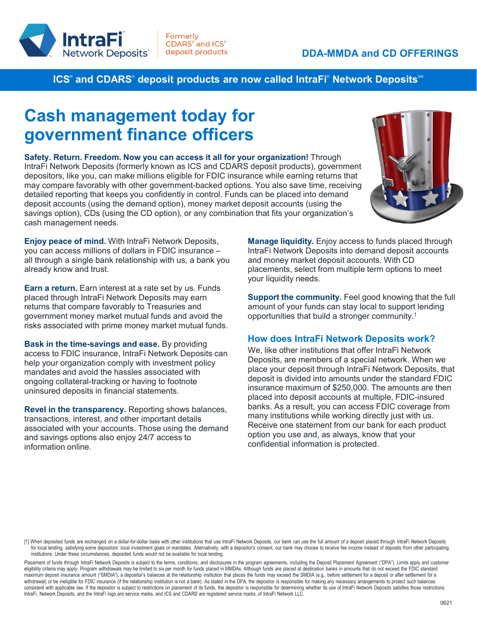

**ICS**® and CDARS® deposit products are now called IntraFi® Network Deposits℠

## **Cash management today for government finance officers**

**Safety. Return. Freedom. Now you can access it all for your organization!** Through IntraFi Network Deposits (formerly known as ICS and CDARS deposit products), government depositors, like you, can make millions eligible for FDIC insurance while earning returns that may compare favorably with other government-backed options. You also save time, receiving detailed reporting that keeps you confidently in control. Funds can be placed into demand deposit accounts (using the demand option), money market deposit accounts (using the savings option), CDs (using the CD option), or any combination that fits your organization's cash management needs.



**Enjoy peace of mind.** With IntraFi Network Deposits, you can access millions of dollars in FDIC insurance – all through a single bank relationship with us, a bank you already know and trust.

**Earn a return.** Earn interest at a rate set by us. Funds placed through IntraFi Network Deposits may earn returns that compare favorably to Treasuries and government money market mutual funds and avoid the risks associated with prime money market mutual funds.

**Bask in the time-savings and ease.** By providing access to FDIC insurance, IntraFi Network Deposits can help your organization comply with investment policy mandates and avoid the hassles associated with ongoing collateral-tracking or having to footnote uninsured deposits in financial statements.

**Revel in the transparency.** Reporting shows balances, transactions, interest, and other important details associated with your accounts. Those using the demand and savings options also enjoy 24/7 access to information online.

**Manage liquidity.** Enjoy access to funds placed through IntraFi Network Deposits into demand deposit accounts and money market deposit accounts. With CD placements, select from multiple term options to meet your liquidity needs.

**Support the community.** Feel good knowing that the full amount of your funds can stay local to support lending opportunities that build a stronger community.1

## **How does IntraFi Network Deposits work?**

We, like other institutions that offer IntraFi Network Deposits, are members of a special network. When we place your deposit through IntraFi Network Deposits, that deposit is divided into amounts under the standard FDIC insurance maximum of \$250,000. The amounts are then placed into deposit accounts at multiple, FDIC-insured banks. As a result, you can access FDIC coverage from many institutions while working directly just with us. Receive one statement from our bank for each product option you use and, as always, know that your confidential information is protected.

Placement of funds through IntraFi Network Deposits is subject to the terms, conditions, and disclosures in the program agreements, including the Deposit Placement Agreement ("DPA"). Limits apply and customer eligibility criteria may apply. Program withdrawals may be limited to six per month for funds placed in MMDAs. Although funds are placed at destination banks in amounts that do not exceed the FDIC standard maximum deposit insurance amount ("SMDIA"), a depositor's balances at the relationship institution that places the funds may exceed the SMDIA (e.g., before settlement for a deposit or after settlement for a deposit or afte withdrawal) or be ineligible for FDIC insurance (if the relationship institution is not a bank). As stated in the DPA, the depositor is responsible for making any necessary arrangements to protect such balances consistent with applicable law. If the depositor is subject to restrictions on placement of its funds, the depositor is responsible for determining whether its use of IntraFi Network Deposits satisfies those restrictions. IntraFi, Network Deposits, and the IntraFi logo are service marks, and ICS and CDARS are registered service marks, of IntraFi Network LLC.

<sup>[1]</sup> When deposited funds are exchanged on a dollar-for-dollar basis with other institutions that use IntraFi Network Deposits, our bank can use the full amount of a deposit placed through IntraFi Network Deposits for local lending, satisfying some depositors' local investment goals or mandates. Alternatively, with a depositor's consent, our bank may choose to receive fee income instead of deposits from other participating institutions. Under these circumstances, deposited funds would not be available for local lending.